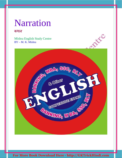#### कथन

Mishra English Study Centre BY – M. K. Mishra

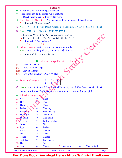- Narration is an art of quoting a statement.
- ❖ A statement can be made into two Narrations. (a) Direct Narration & (b) Indirect Narration
- $\bullet$  Direct Speech / Narration A statement made in the words of its real speaker. Ex.:- Ram said, "I am a dancer".
- Note Úयान रहे ͩक ͩकसी Direct Narration का Statement , "…." के अंदर होना चाǑहए।
- $\supset$  Note किसी Direct Narration के दो भाग होते है :-
	- (a) Reporting Verb (The Part that is outside the , "….")
	- (b) Reported Speech (The Part that is inside the , "....")
	- Ex.:- Ram said, "I am a dancer".

R.V R.S

- $\cdot$  Indirect Speech A statement made in our own words.
- ⊃ Note ध्यान रहे, कि इसमे, "…." का प्रयोग नहीं होता है।
	- Ex.:- Ram said that he was a dancer.

#### • Rules to change Direct into Indirect

- (i) Pronoun Change –
- (ii) Verb / Tense Change –
- (iii) Adverb Change –
- (iv) Use of Conjunction , "...."  $\Rightarrow$  That
- $\triangleleft$  Pronoun Change  $S$   $O$   $\mathbb{N}$  $1 \quad \text{A} \quad \text{3}$
- Note ध्यान रहे कि यदि R.S में Scecond Person हो, तथा R.V में Object न रहे, तो उसे Indirect बनाते वक्त स्थिति अनुसार | / We / He / She (Group) में बदल देते है।
- **❖** Adverb Change –
- 1. Now  $\Rightarrow$  Then
- 2. This  $\mathbb{R}$  That
- 3. These  $\mathbb{R}^5$  Those
- 4. Today  $\mathbb{N} \Rightarrow$  That day
- 5. Yesterday  $\Rightarrow$  Previous day
- 6. **Tomorrow**  $\Rightarrow$  Next day
- $\Rightarrow$  That Night
- 8. Next day  $\qquad \Rightarrow \qquad$  Following day
- 9. Come  $\Rightarrow$  Go
- 10. Ago  $\Rightarrow$  Before
- 11. Hither  $\Rightarrow$  Thither
- 12. Just  $\Rightarrow$  Then
- 13. Hence  $\Rightarrow$  Thence
- 14. Last day  $\Rightarrow$  Previous day 15. Thus  $\Rightarrow$  So
- 16. Here  $\Rightarrow$  There 17. Hence forth  $\Rightarrow$  Thence forth

BY – Pritam Kumar Raw Mob. - 9534411155 Page 2

Centre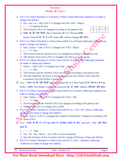#### $\le$  Rules & Uses  $\ge$

- If R.V of a direct Narration is in Present or future Tense following conditions are made to change into Indirect.
	- 1) Say / Say's to + Obj. of R.V is changed into tell / tells + Object.
	- 2) , "…." is replaced by that.
	- 3) The Pronoun of R.S are changed according to the general rule –
	- 4) ध्यान रहे कि यदि किसी Direct Narration का R.V Present अथवा

Future Tense में हो, तो R.S का Tense तथा Adverb change नहीं होगा।

- If R.V of a Direct Narration is in Past Tense and R.S is in Present following conditions are made to change into Indirect.
	- 1) Said / Said to + Obj. of R.V is changed into Told + Object.
	- 2), "….."  $\Rightarrow$  That
	- 3) The Pronoun and the Adverb of R.S are changed according to the general rule.
	- 4) The Present Tense form of R.S is changed into Past in its same group.
- If R.V of a Direct Narration is in Past Tense and R.S is also in Past following conditions are made to change into Indirect.
	- 1) Said to  $+$  Obj. of R.V is changed into Told  $+$  Object.
	- 2), "….."  $\Rightarrow$  That
	- 3) The Pronoun and the Adverbs of R.S are changed according to the general rule.
	- 4) The Past Indefinite Structure of R.S is changed into Past Perfect Tense and Past Continuous into Past Perfect Continuous.
- Note ध्यान रहे कि यदि किसी Direct Narration का R.V Past Tense में हो तथा R.S में Past

Perfect अथवा Past Perfect Continuous Structure रहे, तो उसका Indirect परिवर्तन नहीं होता।

- $\cdot$  If R.V of a Direct Narration is in Past Tense and R.S is in Future, following conditions are made to change into Indirect.
	- 1) Said / Said to +  $\overrightarrow{Obj}$  of R.V is changed into Told + Obj.
	- 2), " $\ldots$ "  $\Rightarrow$  That
	- 3) The Pronouns and the Adverb of R.S are changed according to the general rule.
	- 4) Shall or will of R.S is changed into would.
- If R.V of a Direct Narration is in Past Tense and R.S is a 'Yes / No" answer, following conditions are made to change into Indirect.

1) Said / Said to' of R.V is changed into replied in Affirmative / Negative according to the sense of R.S.

- $\supset$  Note ध्यान रहे कि R.V में Obj. रहने पर उपरोक्त प्रयोग के बाद 'and told + Obj.' जोड़ दिया जाता है।
	- 2) , "…."  $\Rightarrow$  That
	- 3) Yes / No / Not / Never …etc. of R.S are not mentioned.
	- 4) Now the Sentence of R.S is written with the change of Pronoun, Tense and Adverb.
- If R.V of a Direct Narration is in Past Tense and R.S is a Wh. Question, following conditions are made to change into Indirect.

BY – Pritam Kumar Raw Mob. - 9534411155 Page 3

S O N  $1 \t 2 \t 3$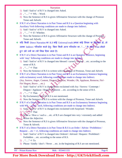- 1) Said / Said to' of R.V is changed into Asked.
- 2), " $\ldots$ "  $\Rightarrow$  Wh. Word.
- 3) Now the Sentence of R.S is given Affirmative Structure with the change of Pronoun Tense and Adverb.
- If R.V of a Direct Narration is in Past Tense and R.S is a Question beginning with Auxiliary Verb following conditions are made to change into Indirect.
	- 1) Said / Said to' of R.V is changed into Asked.
	- 2), "….."  $\Rightarrow$  If / Whether.
	- 3) Now the Sentence of R.S is given Affirmative Structure with the change of Pronoun, Tense and Adverb.
- $\dots$  यदि किसी Direct Narration का R.S कोई Universal truth अथवा कोई नियम या सिदधांत हो, तो उसका Indirect परिवर्तन करने हेतुः बिना किसी अन्य परिवर्तन का ,"...." के बदले That जोड़ते हुए उसे ज्यों का त्यों लिख दिया जाता है।

```
 If R.V of a Direct Narration is in Past Tense and R.S is an Opatative Sentence, beginning 
   with 'may' following conditions are made to change into Indirect.
```
- 1) Said / Said to' of R.V is changed into blessed / cursed / wished …etc. according to the sense of R.S.
- 2), "….."  $\Rightarrow$  That
- 3) Now the Sentence of R.S is written with the change of Pronoun, Tense and Adverb.
- $*$  If R.V of a Direct Narration is in Past Tense and R.S is an Exclamatory Sentence beginning with exclamatory word, following conditions are made to change into Indirect. (Joy, Sorrow, Anger, Content, Disgust, Surprise, Wonder, Oh, Applause, Remorse, Fie!- Fie! Regret, Bravo …etc.)
	- 1) Said / Said to' of R.V is changed into exclaimed with Joy / Sorrow / Contempt / Disgust / Applause / Regret / Remorse ...etc. according to the sense of R.S.
	- 2), "….."  $\Rightarrow$  That.
	- 3) By Exclamatory word of R.S is not mentioned.
	- 4) Now the Sentence of R.S is written with the change of Pronoun, Tense and Adverb.
- **If R.V** of a Direct Narration is in Past Tense and R.S is an Exclamatory Sentence beginning with Wh. – word  $\sqrt{\frac{1}{1}}$  such, following conditions are made to change into Indirect.
	- 1) Said / Said to' of R.V is changed into exclaimed with Surprised / Wonder.
	- 2)  $\stackrel{\circ}{\bullet}$   $\stackrel{\circ}{\bullet}$   $\stackrel{\circ}{\bullet}$  That
	- 3) What a / How a / such a …etc. of R.S are changed into very / extremely and added before the Adjective.
	- 4) Now the Sentence of R.S is given Affirmative Structure with the changed of Pronoun, Tense & Adverb.
- If R.V of a Direct Narration is in Past Tense & R.S is an Order / Advise / Prohibition / Request …etc + v1, following conditions are made to change into Indirect.
	- 1) Said / Said to' of R.V is changed into Ordered / Advised / Request / Prohibited / Forbidden …etc. according to the sense of R.S.
	- 2) , "…."  $\Rightarrow$  To
	- 3) Please / kindly / don't / Never …etc. in the beginning of R.S are not mentioned.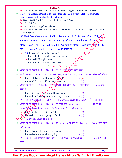|   | 4) Now the Sentence of R.S is written with the change of Pronoun and Adverb.                |                                   |  |
|---|---------------------------------------------------------------------------------------------|-----------------------------------|--|
| 參 | If R.V of a Direct Narration is in Past Tense and R.S is a wish / Proposal following        |                                   |  |
|   | conditions are made to change into Indirect.                                                |                                   |  |
|   | 1) Said / Said to' of R.V is changed into wished / Proposed.                                |                                   |  |
|   | 2), "" $\Rightarrow$ That                                                                   |                                   |  |
|   | 3) Let of R.S is changed into Should.                                                       |                                   |  |
|   | 4) Now the Sentence of R.S is given Affirmative Structure with the change of Pronoun        |                                   |  |
|   | and Adverb.                                                                                 |                                   |  |
|   | यदि किसी Direct Narration का R.V Past Tense में हो तथा R.S के तहत Could / Might             |                                   |  |
|   | Should / Would (Past form of Modals) + v1 रहे, तो Indirect बनाते वक्त उसे Past form of      |                                   |  |
|   | Modal + have + v3 में बादल देते हैं, जबकि Past form of Modal + have been + v4 रहने पर       |                                   |  |
|   | उसे Past form of Modal + have been + v4 में बदलते हैं।                                      |                                   |  |
|   | Ex.:- (a) Ram said, "I might be dancing."                                                   |                                   |  |
|   | Ram said that he might have been dancing.                                                   |                                   |  |
|   | (b) Ram said, "I might dance."                                                              |                                   |  |
|   | Ram said that he might have danced.                                                         |                                   |  |
|   | $\triangleleft$ Some Facts $\triangleright$                                                 |                                   |  |
|   | ध्यान रहे कि किसी Indirect Narration में, ""का प्रयोग नहीं होता।                            |                                   |  |
|   | किसी Indirect form के Main Clause में बिना Object का Tell, Tells, Told का प्रयोग नहीं होता। |                                   |  |
|   | Ex.:- Ram told that he could solve the Question.                                            | $-({\bf x})$                      |  |
|   | Ram said that he could solve the Question.                                                  | $-(\checkmark)$                   |  |
|   | ध्यान रहे कि Tell / Tells / Told के सुरंत बाद आने वाला Object अपने पहले Preposition नहीं    |                                   |  |
|   | लेता है।                                                                                    |                                   |  |
|   | Ex.:- Ram said Shyam that he would buy a new car.                                           | $-$ ( $\boldsymbol{\mathsf{x}}$ ) |  |
|   | Ram said to Shyam that he would buy a new car.                                              | $-(\checkmark)$                   |  |
|   | ध्यान रहे कि Narration के किसी भी रूप में Universal Truth का Tense परिवर्तन नहीं होता।      |                                   |  |
|   | ध्यान रहे कि किसी Indirect Narration के तहत यदि Main Clause, Past Tense में हो, तो          |                                   |  |
|   | उसका Subordmate Part गलती से भी Present या Future में नहीं होता।                            |                                   |  |
|   | $Ex$ . $Ram$ said that he is going to Delhi.                                                | $-({\bf x})$                      |  |
|   | Ram said that he was going to Delhi.                                                        | $-(\checkmark)$                   |  |
|   | Note – Universal Truth को छोड़ कर।                                                          |                                   |  |
|   | र्ध्यान रहे कि किसी Indirect Narration के Connector के रूप में "that + Wh. - Word" एक साथ   |                                   |  |
|   | नहीं आएगा।                                                                                  |                                   |  |
|   | Ex.:- Ram asked me that where I was going.                                                  | $-({\bf x})$                      |  |
|   | Ram asked me where I was going.                                                             | $-(\checkmark)$                   |  |
|   | ❖ ध्यान रहे कि किसी Indirect Narration के तहत "that + if / whether" का प्रयोग एक साथ नहीं   |                                   |  |
|   | होता।                                                                                       |                                   |  |
|   |                                                                                             |                                   |  |
|   | <b>BY</b> - Pritam Kumar Raw<br>Mob. - 9534411155                                           | Page 5                            |  |
|   |                                                                                             |                                   |  |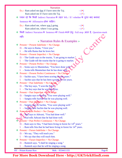|             | <b>Narration</b>                                                                                  |        |
|-------------|---------------------------------------------------------------------------------------------------|--------|
|             | Ex.:- Ram asked me that if I have seen the Taj.<br>$-({\bf x})$                                   |        |
|             | $-(\checkmark)$<br>Ram asked me if I have seen the Taj.                                           |        |
|             | ❖ ध्यान रहे कि किसी Indirect Narration के तहत Wh. / If / whether के तुरंत बाद बनावट               |        |
|             | Sentence का Affirmative होना चाहिए।                                                               |        |
|             | Ex.:- Ram asked me, where $\underline{was} I$ going.<br>$-({\bf x})$                              |        |
|             | $ (\checkmark)$<br>Ram asked me, where I was going.                                               |        |
|             |                                                                                                   |        |
|             | किसी Indirect Narration के Sentence को Finish करने हेतुः Full stop आता है, Question-mark          |        |
|             | नहीं।<br><b>PARK</b>                                                                              |        |
|             | $\triangleleft$ Narration Rules & Examples $\triangleright$                                       |        |
|             | $\bullet$ Present + Present Indefinite = No Change.                                               |        |
|             | D. – He says to Rama, "I love you."                                                               |        |
|             | $I. - He tells Rama that he loves her.$                                                           |        |
|             | $\div$ Present + Present Imperfect = No Change.                                                   |        |
|             | D. – The Guide says to the tourist, "I am going to market."                                       |        |
|             | I. $-$ The Guide tell the tourist that he is going to market.                                     |        |
|             | $Present + Present Perfect = No Change.$                                                          |        |
|             | D. – Sonia says to Manmohan, "You have done well."                                                |        |
|             | I. – Sonia tells Manmohan that he has done well.                                                  |        |
|             | $\bullet$ Present + Present Perfect Continuous = No Change.                                       |        |
|             | D. – Sachin says, "I have been scoring for ten years."                                            |        |
|             | I. $-$ Sachin says that he has been scoring for ten years.                                        |        |
|             | $\triangleleft$ Present + Past Indefinite = No Change                                             |        |
|             | $D.$ – The boy says, "I won the Prize."                                                           |        |
|             | I. – The boy says that he won the Prize.                                                          |        |
| 參           | Present + Past Imperfect $\neq$ No Change.                                                        |        |
|             | D. – Sangita says to Sachin, "You were playing well."                                             |        |
|             | I. - Sangita tells Sachin that he was playing well.                                               |        |
| ❖           | $Present + Past$ Imperfect = No Change.                                                           |        |
|             | D. – Sangita says to Sachin, "You were playing well."                                             |        |
|             | I. – Sangita tells Sachin that he was playing well.                                               |        |
| <b>SALE</b> | Present $\rightarrow$ Past Perfect = No Change.<br>D. - Atal says to Adwani, "You had done well." |        |
|             | I. Atal tells Adwani that he had done well.                                                       |        |
|             | $\text{Present} + \text{Fast Perfect Continuous} = \text{No Change.}$                             |        |
|             | $D. - Ram$ says to Sita, "I had been living in forest for 14 <sup>th</sup> years."                |        |
|             | I. - Ram tells Sita that he had been living in forest for $14th$ years.                           |        |
|             | $\triangleleft$ Present + Future Indefinite = No Change.                                          |        |
|             | D. – We say, "They will teach you."                                                               |        |
|             | I. $-$ We say that they will teach him.                                                           |        |
| ❤           | $Present + Future Imperfect = No Change.$                                                         |        |
|             | D. - Ramesh says, "I shall be singing a song."                                                    |        |
|             | I. $-$ Ramesh says that he will be singing a song.                                                |        |
|             | <b>BY</b> - Pritam Kumar Raw<br>Mob. - 9534411155                                                 | Page 6 |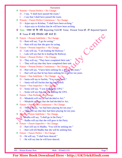- Narration
- $\triangleleft$  Present + Future Perfect = No Change.
	- D. I say, "I shall have passed the exam."
	- I. I say that I shall have passed the exam.
- $\triangleleft$  Present + Future Perfect Continuous = No Change.
	- D. Arjun says to Krishna, "I shall have been arching."
	- I. Arjun says to Krishna that he will have been arching.
- 9 Note ध्यान रहे कि यदि Reporting Verb का Tense, Present Tense हो, तो Reported Speech<br>
के Tense में कोई परिवर्तन नहीं करते हैं।<br>
† Future + Present Indefinite = No Change.<br>
D. Rani will say, "I go for acting."<br>
I. के Tense में कोई परिवर्तन नहीं करते हैं।
- $\triangleleft$  Future + Present Indefinite = No Change.
	- D. Rani will say, "I go for acting."
	- I. Rani will say that she goes for acting.
- $\triangleleft$  Future + Present Imperfect = No Change.
	- D. Lalu will say, "I am leading the Railway."
	- I. Lalu will say that he is leading the Railway.
- $\div$  Future + Present Perfect = No Change.
	- D. They will say, "They have completed their task."
	- I. They will say that they have completed their task.
- $\triangleleft$  Future + Present Perfect Continuous = No Change.
	- D. Hari will say, "I have been seeking for a Job for ten years."
	- I. Hari will say that he has been seeking for a Job for ten years.
- $\triangleleft$  Future + Past Indefinite = No Change.  $\triangleleft$ 
	- D. Sania will say to Sachin, "You scored well."
	- I. Sania will tell Sachin that he scored well.
- $\triangleleft$  Future + Past Imperfect = No Change.
	- D. Sonia will say, "I was leading the UPA."
	- I. Sonia will say that she was leading the UPA.
- $\triangleleft$  Future + Past Perfect = No Change.
	- D. Minakshi will say, "I had decided to Act."
	- I. Minakshi will say that she had decided to Act.
- $\div$  Future + Past Perfect Continuous = No Change.
	- D. They will say, "we had been playing for ten year."
	- I.  $\bullet$  They will say that they had been playing for ten year.
- $\div$  Future + Future Indefinite = No Change.
	- D. Radha will say, "I shall go in the Party."
	- I. Radha will say that she will goes in the Party.
- $\div$  Future + Future Imperfect = No Change.
	- D. Hari will say to Madhu, "You will be seeking me."
	- I. Hari will tell Madhu that she will be seeking him.
- $\div$  Future + Future Perfect = No Change.
	- D. He will say, "I shall have danced."
	- I. He will say that he will have danced.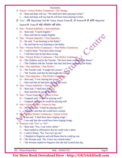$\div$  Future + Future Perfect Continuous = No Change.

D. – Ram and Raju will say, "We shall have been playing Cricket."

I. – Ram and Raju will say that he will have been playing Cricket.

- Note यदि Reporting Verb का Tense, Future Tense हो, तो Present के ही भांति Reported
	- Speech के Tense में कोई परिवर्तन नहीं होगा।
- $\triangleleft$  Past + Present Indefinite = Past Indefinite.
	- D. Ram said, "I teach English."
	- I. Ram said that he taught English.
- $\triangleleft$  Past + Present Imperfect = Past Imperfect.
	- D. He said, "I am listening to the Radio."
	- I. He said that he was listening to the Radio.
- $\triangleleft$  Past + Present Perfect Continuous = Past Perfect Continuous.
	- D. I said to Ram, "You have done wrong."
	- I. I told Ram that he had done wrong.
- $\triangleleft$  Past + Present Perfect Continuous = Past Perfect Continuous.
	- D. The Children said to the Teacher, "We have been cramming the Poem."
	- I. The Children told the Teacher that they had been cramming the Poem.
- $\triangleleft$  Past + Past Indefinite = Past Perfect.
	- D. The Teacher said, "I taught the Lesson."
	- I. The Teacher said that he had taught the Lesson.
- $\triangleleft$  Past + Past Imperfect = Past Perfect Continuous.
	- D. Hari said, "I was chasing the score."
	- I. Hari said that he had been chasing the score.
- $\triangleleft$  Past + Future Indefinite = Future in Past.
	- D. Ram said, "I shall beat Hari."
	- I. Ram said that he would beat Hari.
- $\triangle$  Past + Future Imperfect  $\triangle$  Future in Past.
	- D. Ganguali said, "I shall be playing well."
	- I. Ganguali said that he would be playing well.
- $\triangleleft$  Past + Future Perfect = Future in Past.
	- D. My sister said, "I shall be playing well."
	- I.  $\bullet$  My sister said that she would have cooked.
- $\div$  Past + Future Perfect Continuous = Future in Past.
	- D. Lata said, "I shall have been singing songs."
	- I. Lata said that she would have been singing Songs.
- Sentence with "Yes" or "No"
	- D. Ram said, "Yes, I can write a letter."
	- I. Ram replied in affirmative that he could write a letter.
	- D. I said to Ramu, "No, You can't go out."
	- I. I Replied in Negative and told Ramu that he could go out.
	- D. The Woman said, "No, I have not cooked today."
	- I. The Woman replied in Negative that she had cooked that day.

BY – Pritam Kumar Raw Mob. - 9534411155 Page 8

CANCO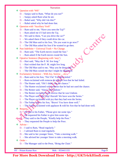Question with "Wh"

#### Narration

- D. Sanjay said to Ram, "What do you eat?"
- I. Sanjay asked Ram what he ate.
- D. Rahul said, "Why did I do this?"
- I. Rahul asked why he had done that.
- Question with "Auxiliary Verb"
	- D. Ram said to me, "Have you seen the Taj?"
	- I. Ram asked me if I had seen the Taj.
	- D. We said to them, "Can you drive the car?"
	- I. We asked them if they could drive the car.
	- D. The Old Man said to his Son, "Do you want to go now?"
	- I. The Old Man asked his Son if he wanted to go then.
- $\triangleleft$  Past Indefinite + Universal Truth = No Change.
	- D. Ram said, "The Earth moves round the Sun."
	- I. Ram asked if the Earth moves round the Sun.
- Optative Sentence (Beginning with 'may')
	- D. Hari said, "May the P. M. live long."
	- I. Hari wished that the P. M. might live long.
	- D. The Old Man said to me, "May you be destroyed.
	- I. The Old Man cursed me that I might be destroyed.
- Exclamatory Sentence With Joy, Sorrow …etc.
	- D. Ram said to his Son, "Fie! Fie! You have failed."
	- I. Ram exclaimed with remorse  $\&$  told his Son that he had failed.
	- D. The Hunter said, "Oh! I didn't use the chance."
	- I. The Hunter exclaimed with remorse that he had not used the chance.
	- D. The Renter said, "Alas! I am Undone."
	- I. The Renter exclaimed with sorrow that he was Undone.
	- D. The Player said, Hip! Hip! Hurrah! We have won the Series."
	- I. The Player exclaimed with joy that they had won the Series.
	- D. The Father said to his Son, "Bravo! You have done well."
	- I. The Father exclaimed with applause  $&$  told his Son that he had done well.
- $\triangleleft$  Request
	- D. He said to his Father, "Please give me some tips."
	- I. He requested his Father to give him some tips.
	- D. They said to the People, "Kindly help the Poor."
	- $\mathcal{V}$ . They requested the People to help the Poor.
- $\triangleleft$  Advise
	- D. I said to Ram, "Read regularly."
	- I. I advised Ram to read regularly.
	- D. She said to her younger Sister, "Take a morning walk."
	- I. She advised her younger Sister to take a morning walk.
- Order
	- D. The Manager said to the Peon, "Bring the Chair."

Centre